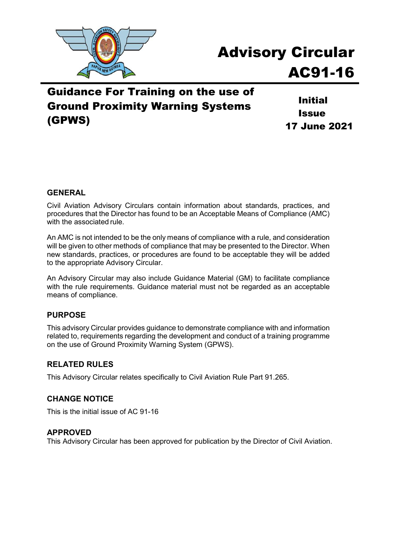

# Advisory Circular AC91-16

## Guidance For Training on the use of Ground Proximity Warning Systems (GPWS)

Initial **Issue** 17 June 2021

#### **GENERAL**

Civil Aviation Advisory Circulars contain information about standards, practices, and procedures that the Director has found to be an Acceptable Means of Compliance (AMC) with the associated rule.

An AMC is not intended to be the only means of compliance with a rule, and consideration will be given to other methods of compliance that may be presented to the Director. When new standards, practices, or procedures are found to be acceptable they will be added to the appropriate Advisory Circular.

An Advisory Circular may also include Guidance Material (GM) to facilitate compliance with the rule requirements. Guidance material must not be regarded as an acceptable means of compliance.

#### **PURPOSE**

This advisory Circular provides guidance to demonstrate compliance with and information related to, requirements regarding the development and conduct of a training programme on the use of Ground Proximity Warning System (GPWS).

#### **RELATED RULES**

This Advisory Circular relates specifically to Civil Aviation Rule Part 91.265.

#### **CHANGE NOTICE**

This is the initial issue of AC 91-16

#### **APPROVED**

This Advisory Circular has been approved for publication by the Director of Civil Aviation.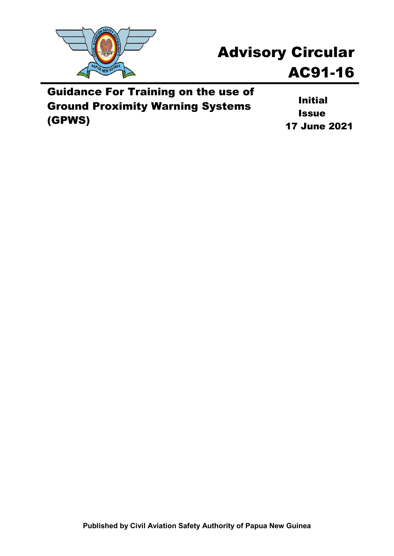

# Advisory Circular AC91-16

Guidance For Training on the use of Ground Proximity Warning Systems (GPWS)

Initial **Issue** 17 June 2021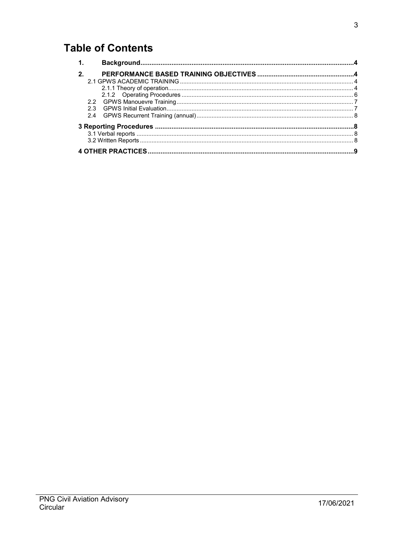## **Table of Contents**

| $\mathbf 1$    |  |  |
|----------------|--|--|
| 2 <sub>1</sub> |  |  |
|                |  |  |
|                |  |  |
|                |  |  |
|                |  |  |
| 23             |  |  |
| 2.4            |  |  |
|                |  |  |
|                |  |  |
|                |  |  |
|                |  |  |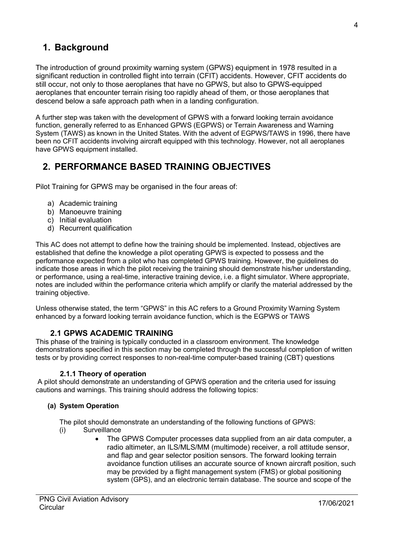## <span id="page-3-0"></span>**1. Background**

The introduction of ground proximity warning system (GPWS) equipment in 1978 resulted in a significant reduction in controlled flight into terrain (CFIT) accidents. However, CFIT accidents do still occur, not only to those aeroplanes that have no GPWS, but also to GPWS-equipped aeroplanes that encounter terrain rising too rapidly ahead of them, or those aeroplanes that descend below a safe approach path when in a landing configuration.

A further step was taken with the development of GPWS with a forward looking terrain avoidance function, generally referred to as Enhanced GPWS (EGPWS) or Terrain Awareness and Warning System (TAWS) as known in the United States. With the advent of EGPWS/TAWS in 1996, there have been no CFIT accidents involving aircraft equipped with this technology. However, not all aeroplanes have GPWS equipment installed.

## <span id="page-3-1"></span>**2. PERFORMANCE BASED TRAINING OBJECTIVES**

Pilot Training for GPWS may be organised in the four areas of:

- a) Academic training
- b) Manoeuvre training
- c) Initial evaluation
- d) Recurrent qualification

This AC does not attempt to define how the training should be implemented. Instead, objectives are established that define the knowledge a pilot operating GPWS is expected to possess and the performance expected from a pilot who has completed GPWS training. However, the guidelines do indicate those areas in which the pilot receiving the training should demonstrate his/her understanding, or performance, using a real-time, interactive training device, i.e. a flight simulator. Where appropriate, notes are included within the performance criteria which amplify or clarify the material addressed by the training objective.

Unless otherwise stated, the term "GPWS" in this AC refers to a Ground Proximity Warning System enhanced by a forward looking terrain avoidance function, which is the EGPWS or TAWS

#### **2.1 GPWS ACADEMIC TRAINING**

<span id="page-3-2"></span>This phase of the training is typically conducted in a classroom environment. The knowledge demonstrations specified in this section may be completed through the successful completion of written tests or by providing correct responses to non-real-time computer-based training (CBT) questions

#### **2.1.1 Theory of operation**

<span id="page-3-3"></span>A pilot should demonstrate an understanding of GPWS operation and the criteria used for issuing cautions and warnings. This training should address the following topics:

#### **(a) System Operation**

The pilot should demonstrate an understanding of the following functions of GPWS:

- (i) Surveillance
	- The GPWS Computer processes data supplied from an air data computer, a radio altimeter, an ILS/MLS/MM (multimode) receiver, a roll attitude sensor, and flap and gear selector position sensors. The forward looking terrain avoidance function utilises an accurate source of known aircraft position, such may be provided by a flight management system (FMS) or global positioning system (GPS), and an electronic terrain database. The source and scope of the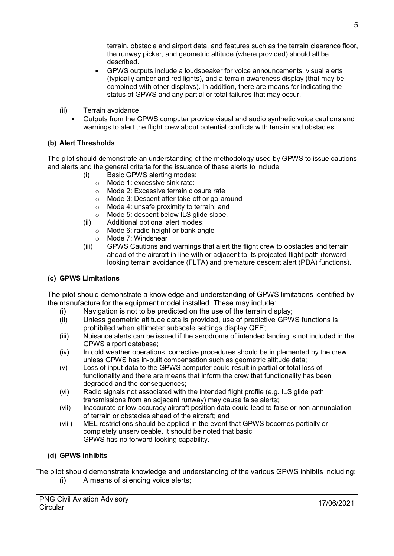terrain, obstacle and airport data, and features such as the terrain clearance floor, the runway picker, and geometric altitude (where provided) should all be described.

- GPWS outputs include a loudspeaker for voice announcements, visual alerts (typically amber and red lights), and a terrain awareness display (that may be combined with other displays). In addition, there are means for indicating the status of GPWS and any partial or total failures that may occur.
- (ii) Terrain avoidance
	- Outputs from the GPWS computer provide visual and audio synthetic voice cautions and warnings to alert the flight crew about potential conflicts with terrain and obstacles.

#### **(b) Alert Thresholds**

The pilot should demonstrate an understanding of the methodology used by GPWS to issue cautions and alerts and the general criteria for the issuance of these alerts to include

- (i) Basic GPWS alerting modes:
	- o Mode 1: excessive sink rate:
	- o Mode 2: Excessive terrain closure rate
	- o Mode 3: Descent after take-off or go-around
	-
	- $\circ$  Mode 4: unsafe proximity to terrain; and  $\circ$  Mode 5: descent below ILS glide slope. Mode 5: descent below ILS glide slope.
- (ii) Additional optional alert modes:
	- o Mode 6: radio height or bank angle
	- o Mode 7: Windshear
- (iii) GPWS Cautions and warnings that alert the flight crew to obstacles and terrain ahead of the aircraft in line with or adjacent to its projected flight path (forward looking terrain avoidance (FLTA) and premature descent alert (PDA) functions).

#### **(c) GPWS Limitations**

The pilot should demonstrate a knowledge and understanding of GPWS limitations identified by the manufacture for the equipment model installed. These may include:

- (i) Navigation is not to be predicted on the use of the terrain display;<br>(ii) Unless geometric altitude data is provided, use of predictive GPW
- Unless geometric altitude data is provided, use of predictive GPWS functions is prohibited when altimeter subscale settings display QFE;
- (iii) Nuisance alerts can be issued if the aerodrome of intended landing is not included in the GPWS airport database;
- (iv) In cold weather operations, corrective procedures should be implemented by the crew unless GPWS has in-built compensation such as geometric altitude data;
- (v) Loss of input data to the GPWS computer could result in partial or total loss of functionality and there are means that inform the crew that functionality has been degraded and the consequences;
- (vi) Radio signals not associated with the intended flight profile (e.g. ILS glide path transmissions from an adjacent runway) may cause false alerts;
- (vii) Inaccurate or low accuracy aircraft position data could lead to false or non-annunciation of terrain or obstacles ahead of the aircraft; and
- (viii) MEL restrictions should be applied in the event that GPWS becomes partially or completely unserviceable. It should be noted that basic GPWS has no forward-looking capability.

#### **(d) GPWS Inhibits**

The pilot should demonstrate knowledge and understanding of the various GPWS inhibits including:

(i) A means of silencing voice alerts;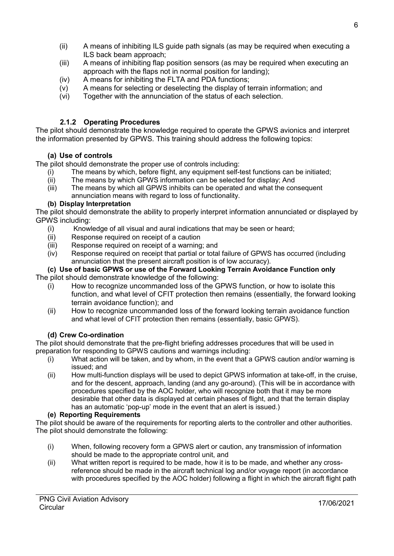- (ii) A means of inhibiting ILS guide path signals (as may be required when executing a ILS back beam approach;
- (iii) A means of inhibiting flap position sensors (as may be required when executing an approach with the flaps not in normal position for landing);
- (iv) A means for inhibiting the FLTA and PDA functions;
- (v) A means for selecting or deselecting the display of terrain information; and
- (vi) Together with the annunciation of the status of each selection.

#### **2.1.2 Operating Procedures**

<span id="page-5-0"></span>The pilot should demonstrate the knowledge required to operate the GPWS avionics and interpret the information presented by GPWS. This training should address the following topics:

#### **(a) Use of controls**

The pilot should demonstrate the proper use of controls including:

- (i) The means by which, before flight, any equipment self-test functions can be initiated;
- (ii) The means by which GPWS information can be selected for display; And<br>(iii) The means by which all GPWS inhibits can be operated and what the con
- The means by which all GPWS inhibits can be operated and what the consequent annunciation means with regard to loss of functionality.

#### **(b) Display Interpretation**

The pilot should demonstrate the ability to properly interpret information annunciated or displayed by GPWS including:

- (i) Knowledge of all visual and aural indications that may be seen or heard;<br>(ii) Response required on receipt of a caution
- (ii) Response required on receipt of a caution<br>(iii) Response required on receipt of a warning
- Response required on receipt of a warning; and
- (iv) Response required on receipt that partial or total failure of GPWS has occurred (including annunciation that the present aircraft position is of low accuracy).

#### **(c) Use of basic GPWS or use of the Forward Looking Terrain Avoidance Function only**  The pilot should demonstrate knowledge of the following:

- (i) How to recognize uncommanded loss of the GPWS function, or how to isolate this function, and what level of CFIT protection then remains (essentially, the forward looking terrain avoidance function); and
- (ii) How to recognize uncommanded loss of the forward looking terrain avoidance function and what level of CFIT protection then remains (essentially, basic GPWS).

#### **(d) Crew Co-ordination**

The pilot should demonstrate that the pre-flight briefing addresses procedures that will be used in preparation for responding to GPWS cautions and warnings including:

- (i) What action will be taken, and by whom, in the event that a GPWS caution and/or warning is issued; and
- (ii) How multi-function displays will be used to depict GPWS information at take-off, in the cruise, and for the descent, approach, landing (and any go-around). (This will be in accordance with procedures specified by the AOC holder, who will recognize both that it may be more desirable that other data is displayed at certain phases of flight, and that the terrain display has an automatic 'pop-up' mode in the event that an alert is issued.)

#### **(e) Reporting Requirements**

The pilot should be aware of the requirements for reporting alerts to the controller and other authorities. The pilot should demonstrate the following:

- (i) When, following recovery form a GPWS alert or caution, any transmission of information should be made to the appropriate control unit, and
- (ii) What written report is required to be made, how it is to be made, and whether any crossreference should be made in the aircraft technical log and/or voyage report (in accordance with procedures specified by the AOC holder) following a flight in which the aircraft flight path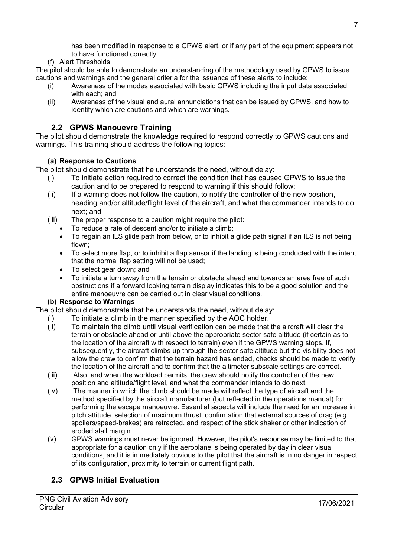(f) Alert Thresholds

The pilot should be able to demonstrate an understanding of the methodology used by GPWS to issue cautions and warnings and the general criteria for the issuance of these alerts to include:

- (i) Awareness of the modes associated with basic GPWS including the input data associated with each; and
- (ii) Awareness of the visual and aural annunciations that can be issued by GPWS, and how to identify which are cautions and which are warnings.

#### **2.2 GPWS Manouevre Training**

<span id="page-6-0"></span>The pilot should demonstrate the knowledge required to respond correctly to GPWS cautions and warnings. This training should address the following topics:

#### **(a) Response to Cautions**

The pilot should demonstrate that he understands the need, without delay:

- (i) To initiate action required to correct the condition that has caused GPWS to issue the caution and to be prepared to respond to warning if this should follow;
- (ii) If a warning does not follow the caution, to notify the controller of the new position, heading and/or altitude/flight level of the aircraft, and what the commander intends to do next; and
- (iii) The proper response to a caution might require the pilot:
	- To reduce a rate of descent and/or to initiate a climb;
	- To regain an ILS glide path from below, or to inhibit a glide path signal if an ILS is not being flown;
	- To select more flap, or to inhibit a flap sensor if the landing is being conducted with the intent that the normal flap setting will not be used;
	- To select gear down; and
	- To initiate a turn away from the terrain or obstacle ahead and towards an area free of such obstructions if a forward looking terrain display indicates this to be a good solution and the entire manoeuvre can be carried out in clear visual conditions.

#### **(b) Response to Warnings**

The pilot should demonstrate that he understands the need, without delay:

- (i) To initiate a climb in the manner specified by the AOC holder.<br>(ii) To maintain the climb until visual verification can be made that
	- To maintain the climb until visual verification can be made that the aircraft will clear the terrain or obstacle ahead or until above the appropriate sector safe altitude (if certain as to the location of the aircraft with respect to terrain) even if the GPWS warning stops. If, subsequently, the aircraft climbs up through the sector safe altitude but the visibility does not allow the crew to confirm that the terrain hazard has ended, checks should be made to verify the location of the aircraft and to confirm that the altimeter subscale settings are correct.
	- (iii) Also, and when the workload permits, the crew should notify the controller of the new position and altitude/flight level, and what the commander intends to do next.
	- (iv) The manner in which the climb should be made will reflect the type of aircraft and the method specified by the aircraft manufacturer (but reflected in the operations manual) for performing the escape manoeuvre. Essential aspects will include the need for an increase in pitch attitude, selection of maximum thrust, confirmation that external sources of drag (e.g. spoilers/speed-brakes) are retracted, and respect of the stick shaker or other indication of eroded stall margin.
	- (v) GPWS warnings must never be ignored. However, the pilot's response may be limited to that appropriate for a caution only if the aeroplane is being operated by day in clear visual conditions, and it is immediately obvious to the pilot that the aircraft is in no danger in respect of its configuration, proximity to terrain or current flight path.

### <span id="page-6-1"></span>**2.3 GPWS Initial Evaluation**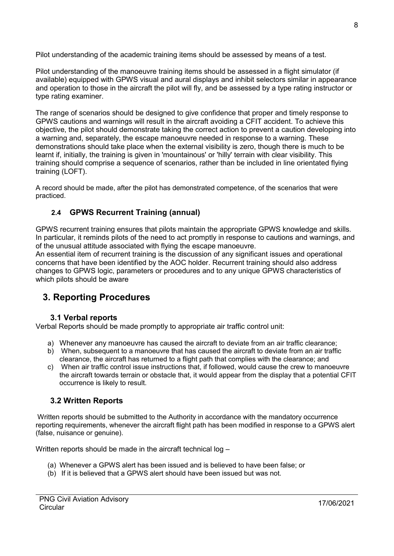Pilot understanding of the academic training items should be assessed by means of a test.

Pilot understanding of the manoeuvre training items should be assessed in a flight simulator (if available) equipped with GPWS visual and aural displays and inhibit selectors similar in appearance and operation to those in the aircraft the pilot will fly, and be assessed by a type rating instructor or type rating examiner.

The range of scenarios should be designed to give confidence that proper and timely response to GPWS cautions and warnings will result in the aircraft avoiding a CFIT accident. To achieve this objective, the pilot should demonstrate taking the correct action to prevent a caution developing into a warning and, separately, the escape manoeuvre needed in response to a warning. These demonstrations should take place when the external visibility is zero, though there is much to be learnt if, initially, the training is given in 'mountainous' or 'hilly' terrain with clear visibility. This training should comprise a sequence of scenarios, rather than be included in line orientated flying training (LOFT).

A record should be made, after the pilot has demonstrated competence, of the scenarios that were practiced.

### **2.4 GPWS Recurrent Training (annual)**

<span id="page-7-0"></span>GPWS recurrent training ensures that pilots maintain the appropriate GPWS knowledge and skills. In particular, it reminds pilots of the need to act promptly in response to cautions and warnings, and of the unusual attitude associated with flying the escape manoeuvre.

An essential item of recurrent training is the discussion of any significant issues and operational concerns that have been identified by the AOC holder. Recurrent training should also address changes to GPWS logic, parameters or procedures and to any unique GPWS characteristics of which pilots should be aware

## <span id="page-7-1"></span>**3. Reporting Procedures**

#### **3.1 Verbal reports**

<span id="page-7-2"></span>Verbal Reports should be made promptly to appropriate air traffic control unit:

- a) Whenever any manoeuvre has caused the aircraft to deviate from an air traffic clearance;
- b) When, subsequent to a manoeuvre that has caused the aircraft to deviate from an air traffic clearance, the aircraft has returned to a flight path that complies with the clearance; and
- c) When air traffic control issue instructions that, if followed, would cause the crew to manoeuvre the aircraft towards terrain or obstacle that, it would appear from the display that a potential CFIT occurrence is likely to result.

#### <span id="page-7-3"></span>**3.2 Written Reports**

Written reports should be submitted to the Authority in accordance with the mandatory occurrence reporting requirements, whenever the aircraft flight path has been modified in response to a GPWS alert (false, nuisance or genuine).

Written reports should be made in the aircraft technical log –

- (a) Whenever a GPWS alert has been issued and is believed to have been false; or
- (b) If it is believed that a GPWS alert should have been issued but was not.